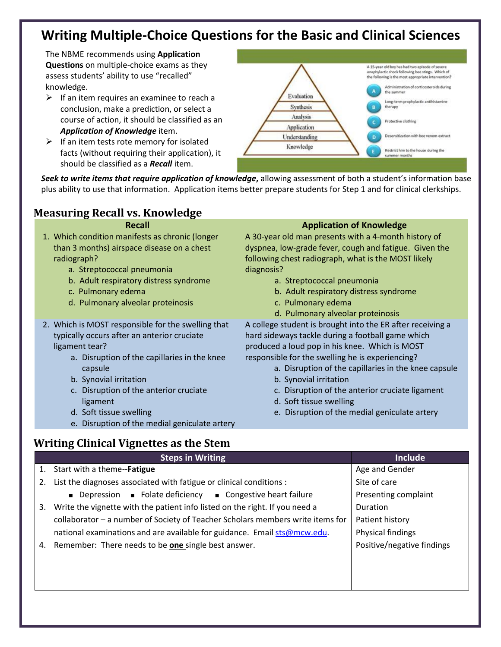# **Writing Multiple-Choice Questions for the Basic and Clinical Sciences**

The NBME recommends using **Application Questions** on multiple-choice exams as they assess students' ability to use "recalled" knowledge.

- $\triangleright$  If an item requires an examinee to reach a conclusion, make a prediction, or select a course of action, it should be classified as an *Application of Knowledge* item.
- $\triangleright$  If an item tests rote memory for isolated facts (without requiring their application), it should be classified as a *Recall* item.



*Seek to write items that require application of knowledge***,** allowing assessment of both a student's information base plus ability to use that information. Application items better prepare students for Step 1 and for clinical clerkships.

## **Measuring Recall vs. Knowledge**

- 1. Which condition manifests as chronic (longer than 3 months) airspace disease on a chest radiograph?
	- a. Streptococcal pneumonia
	- b. Adult respiratory distress syndrome
	- c. Pulmonary edema
	- d. Pulmonary alveolar proteinosis
- 2. Which is MOST responsible for the swelling that typically occurs after an anterior cruciate ligament tear?
	- a. Disruption of the capillaries in the knee capsule
	- b. Synovial irritation
	- c. Disruption of the anterior cruciate ligament
	- d. Soft tissue swelling
	- e. Disruption of the medial geniculate artery

### **Recall Application of Knowledge**

A 30-year old man presents with a 4-month history of dyspnea, low-grade fever, cough and fatigue. Given the following chest radiograph, what is the MOST likely diagnosis?

- a. Streptococcal pneumonia
- b. Adult respiratory distress syndrome
- c. Pulmonary edema
- d. Pulmonary alveolar proteinosis

A college student is brought into the ER after receiving a hard sideways tackle during a football game which produced a loud pop in his knee. Which is MOST responsible for the swelling he is experiencing?

- a. Disruption of the capillaries in the knee capsule
- b. Synovial irritation
- c. Disruption of the anterior cruciate ligament
- d. Soft tissue swelling
- e. Disruption of the medial geniculate artery

## **Writing Clinical Vignettes as the Stem**

|    | <b>Steps in Writing</b>                                                               | <b>Include</b>             |
|----|---------------------------------------------------------------------------------------|----------------------------|
| 1. | Start with a theme--Fatigue                                                           | Age and Gender             |
| 2. | List the diagnoses associated with fatigue or clinical conditions :                   | Site of care               |
|    | <b>Depression Example Example Folate deficiency <b>E</b> Congestive heart failure</b> | Presenting complaint       |
| 3. | Write the vignette with the patient info listed on the right. If you need a           | Duration                   |
|    | collaborator - a number of Society of Teacher Scholars members write items for        | Patient history            |
|    | national examinations and are available for guidance. Email sts@mcw.edu.              | Physical findings          |
| 4. | Remember: There needs to be <b>one</b> single best answer.                            | Positive/negative findings |
|    |                                                                                       |                            |
|    |                                                                                       |                            |
|    |                                                                                       |                            |
|    |                                                                                       |                            |